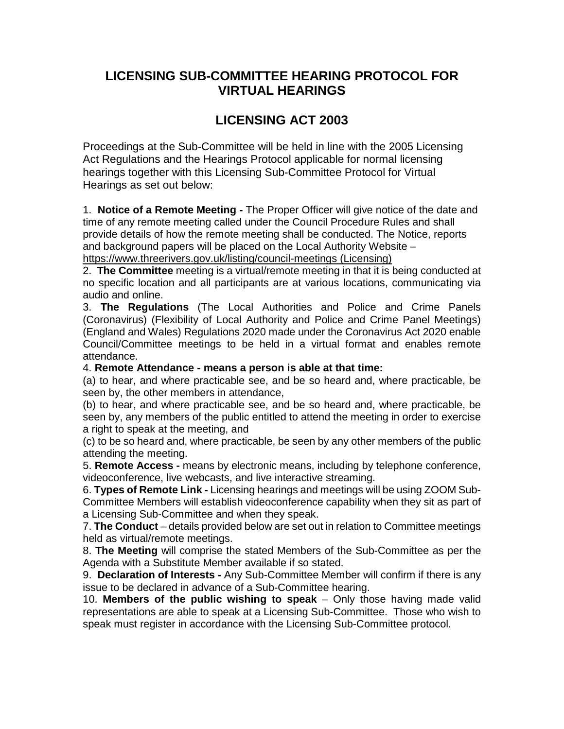## **LICENSING SUB-COMMITTEE HEARING PROTOCOL FOR VIRTUAL HEARINGS**

# **LICENSING ACT 2003**

Proceedings at the Sub-Committee will be held in line with the 2005 Licensing Act Regulations and the Hearings Protocol applicable for normal licensing hearings together with this Licensing Sub-Committee Protocol for Virtual Hearings as set out below:

1. **Notice of a Remote Meeting -** The Proper Officer will give notice of the date and time of any remote meeting called under the Council Procedure Rules and shall provide details of how the remote meeting shall be conducted. The Notice, reports and background papers will be placed on the Local Authority Website –

https://www.threerivers.gov.uk/listing/council-meetings (Licensing)

2. **The Committee** meeting is a virtual/remote meeting in that it is being conducted at no specific location and all participants are at various locations, communicating via audio and online.

3. **The Regulations** (The Local Authorities and Police and Crime Panels (Coronavirus) (Flexibility of Local Authority and Police and Crime Panel Meetings) (England and Wales) Regulations 2020 made under the Coronavirus Act 2020 enable Council/Committee meetings to be held in a virtual format and enables remote attendance.

4. **Remote Attendance - means a person is able at that time:** 

(a) to hear, and where practicable see, and be so heard and, where practicable, be seen by, the other members in attendance,

(b) to hear, and where practicable see, and be so heard and, where practicable, be seen by, any members of the public entitled to attend the meeting in order to exercise a right to speak at the meeting, and

(c) to be so heard and, where practicable, be seen by any other members of the public attending the meeting.

5. **Remote Access -** means by electronic means, including by telephone conference, videoconference, live webcasts, and live interactive streaming.

6. **Types of Remote Link -** Licensing hearings and meetings will be using ZOOM Sub-Committee Members will establish videoconference capability when they sit as part of a Licensing Sub-Committee and when they speak.

7. **The Conduct** – details provided below are set out in relation to Committee meetings held as virtual/remote meetings.

8. **The Meeting** will comprise the stated Members of the Sub-Committee as per the Agenda with a Substitute Member available if so stated.

9. **Declaration of Interests -** Any Sub-Committee Member will confirm if there is any issue to be declared in advance of a Sub-Committee hearing.

10. **Members of the public wishing to speak** – Only those having made valid representations are able to speak at a Licensing Sub-Committee. Those who wish to speak must register in accordance with the Licensing Sub-Committee protocol.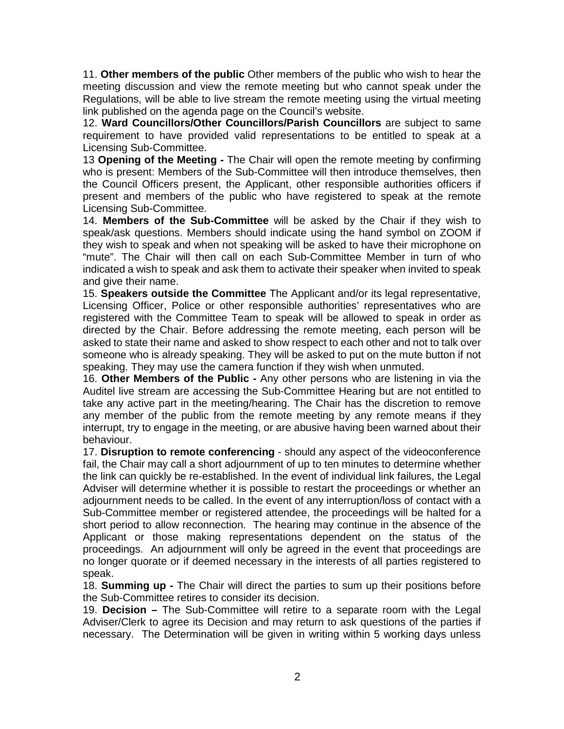11. **Other members of the public** Other members of the public who wish to hear the meeting discussion and view the remote meeting but who cannot speak under the Regulations, will be able to live stream the remote meeting using the virtual meeting link published on the agenda page on the Council's website.

12. **Ward Councillors/Other Councillors/Parish Councillors** are subject to same requirement to have provided valid representations to be entitled to speak at a Licensing Sub-Committee.

13 **Opening of the Meeting -** The Chair will open the remote meeting by confirming who is present: Members of the Sub-Committee will then introduce themselves, then the Council Officers present, the Applicant, other responsible authorities officers if present and members of the public who have registered to speak at the remote Licensing Sub-Committee.

14. **Members of the Sub-Committee** will be asked by the Chair if they wish to speak/ask questions. Members should indicate using the hand symbol on ZOOM if they wish to speak and when not speaking will be asked to have their microphone on "mute". The Chair will then call on each Sub-Committee Member in turn of who indicated a wish to speak and ask them to activate their speaker when invited to speak and give their name.

15. **Speakers outside the Committee** The Applicant and/or its legal representative, Licensing Officer, Police or other responsible authorities' representatives who are registered with the Committee Team to speak will be allowed to speak in order as directed by the Chair. Before addressing the remote meeting, each person will be asked to state their name and asked to show respect to each other and not to talk over someone who is already speaking. They will be asked to put on the mute button if not speaking. They may use the camera function if they wish when unmuted.

16. **Other Members of the Public -** Any other persons who are listening in via the Auditel live stream are accessing the Sub-Committee Hearing but are not entitled to take any active part in the meeting/hearing. The Chair has the discretion to remove any member of the public from the remote meeting by any remote means if they interrupt, try to engage in the meeting, or are abusive having been warned about their behaviour.

17. **Disruption to remote conferencing** - should any aspect of the videoconference fail, the Chair may call a short adjournment of up to ten minutes to determine whether the link can quickly be re-established. In the event of individual link failures, the Legal Adviser will determine whether it is possible to restart the proceedings or whether an adjournment needs to be called. In the event of any interruption/loss of contact with a Sub-Committee member or registered attendee, the proceedings will be halted for a short period to allow reconnection. The hearing may continue in the absence of the Applicant or those making representations dependent on the status of the proceedings. An adjournment will only be agreed in the event that proceedings are no longer quorate or if deemed necessary in the interests of all parties registered to speak.

18. **Summing up -** The Chair will direct the parties to sum up their positions before the Sub-Committee retires to consider its decision.

19. **Decision –** The Sub-Committee will retire to a separate room with the Legal Adviser/Clerk to agree its Decision and may return to ask questions of the parties if necessary. The Determination will be given in writing within 5 working days unless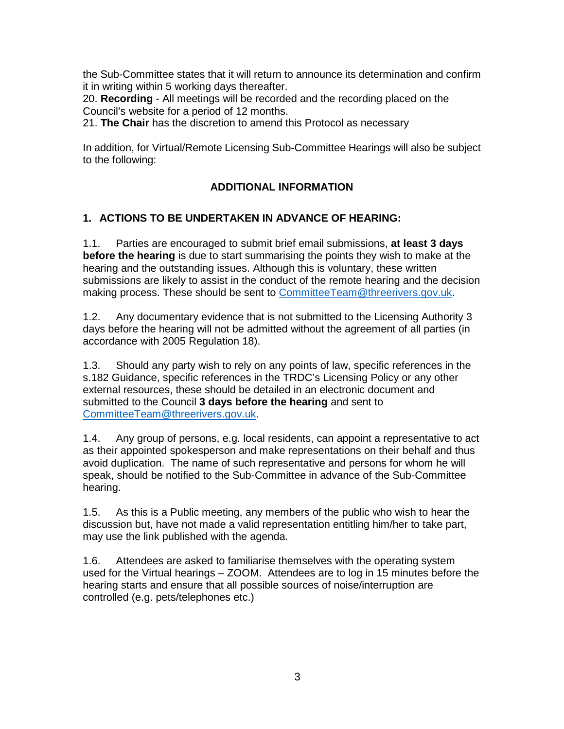the Sub-Committee states that it will return to announce its determination and confirm it in writing within 5 working days thereafter.

20. **Recording** - All meetings will be recorded and the recording placed on the Council's website for a period of 12 months.

21. **The Chair** has the discretion to amend this Protocol as necessary

In addition, for Virtual/Remote Licensing Sub-Committee Hearings will also be subject to the following:

### **ADDITIONAL INFORMATION**

#### **1. ACTIONS TO BE UNDERTAKEN IN ADVANCE OF HEARING:**

1.1. Parties are encouraged to submit brief email submissions, **at least 3 days before the hearing** is due to start summarising the points they wish to make at the hearing and the outstanding issues. Although this is voluntary, these written submissions are likely to assist in the conduct of the remote hearing and the decision making process. These should be sent to [CommitteeTeam@threerivers.gov.uk.](mailto:CommitteeTeam@threerivers.gov.uk)

1.2. Any documentary evidence that is not submitted to the Licensing Authority 3 days before the hearing will not be admitted without the agreement of all parties (in accordance with 2005 Regulation 18).

1.3. Should any party wish to rely on any points of law, specific references in the s.182 Guidance, specific references in the TRDC's Licensing Policy or any other external resources, these should be detailed in an electronic document and submitted to the Council **3 days before the hearing** and sent to [CommitteeTeam@threerivers.gov.uk.](mailto:CommitteeTeam@threerivers.gov.uk)

1.4. Any group of persons, e.g. local residents, can appoint a representative to act as their appointed spokesperson and make representations on their behalf and thus avoid duplication. The name of such representative and persons for whom he will speak, should be notified to the Sub-Committee in advance of the Sub-Committee hearing.

1.5. As this is a Public meeting, any members of the public who wish to hear the discussion but, have not made a valid representation entitling him/her to take part, may use the link published with the agenda.

1.6. Attendees are asked to familiarise themselves with the operating system used for the Virtual hearings – ZOOM. Attendees are to log in 15 minutes before the hearing starts and ensure that all possible sources of noise/interruption are controlled (e.g. pets/telephones etc.)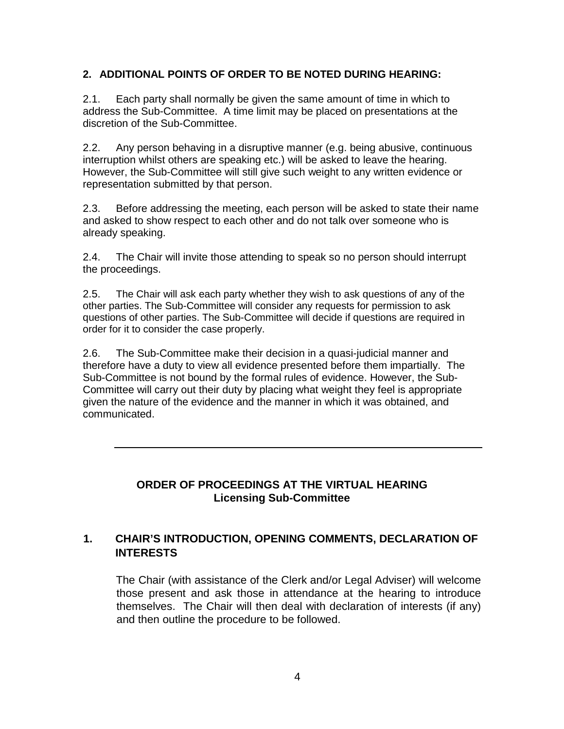#### **2. ADDITIONAL POINTS OF ORDER TO BE NOTED DURING HEARING:**

2.1. Each party shall normally be given the same amount of time in which to address the Sub-Committee. A time limit may be placed on presentations at the discretion of the Sub-Committee.

2.2. Any person behaving in a disruptive manner (e.g. being abusive, continuous interruption whilst others are speaking etc.) will be asked to leave the hearing. However, the Sub-Committee will still give such weight to any written evidence or representation submitted by that person.

2.3. Before addressing the meeting, each person will be asked to state their name and asked to show respect to each other and do not talk over someone who is already speaking.

2.4. The Chair will invite those attending to speak so no person should interrupt the proceedings.

2.5. The Chair will ask each party whether they wish to ask questions of any of the other parties. The Sub-Committee will consider any requests for permission to ask questions of other parties. The Sub-Committee will decide if questions are required in order for it to consider the case properly.

2.6. The Sub-Committee make their decision in a quasi-judicial manner and therefore have a duty to view all evidence presented before them impartially. The Sub-Committee is not bound by the formal rules of evidence. However, the Sub-Committee will carry out their duty by placing what weight they feel is appropriate given the nature of the evidence and the manner in which it was obtained, and communicated.

## **ORDER OF PROCEEDINGS AT THE VIRTUAL HEARING Licensing Sub-Committee**

## **1. CHAIR'S INTRODUCTION, OPENING COMMENTS, DECLARATION OF INTERESTS**

The Chair (with assistance of the Clerk and/or Legal Adviser) will welcome those present and ask those in attendance at the hearing to introduce themselves. The Chair will then deal with declaration of interests (if any) and then outline the procedure to be followed.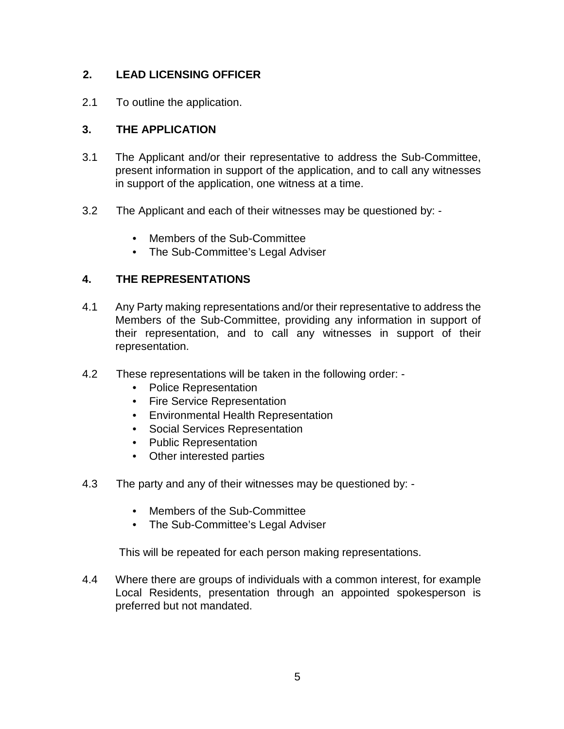## **2. LEAD LICENSING OFFICER**

2.1 To outline the application.

## **3. THE APPLICATION**

- 3.1 The Applicant and/or their representative to address the Sub-Committee, present information in support of the application, and to call any witnesses in support of the application, one witness at a time.
- 3.2 The Applicant and each of their witnesses may be questioned by:
	- Members of the Sub-Committee
	- The Sub-Committee's Legal Adviser

## **4. THE REPRESENTATIONS**

- 4.1 Any Party making representations and/or their representative to address the Members of the Sub-Committee, providing any information in support of their representation, and to call any witnesses in support of their representation.
- 4.2 These representations will be taken in the following order:
	- Police Representation
	- Fire Service Representation
	- Environmental Health Representation
	- Social Services Representation
	- Public Representation
	- Other interested parties
- 4.3 The party and any of their witnesses may be questioned by:
	- Members of the Sub-Committee
	- The Sub-Committee's Legal Adviser

This will be repeated for each person making representations.

4.4 Where there are groups of individuals with a common interest, for example Local Residents, presentation through an appointed spokesperson is preferred but not mandated.